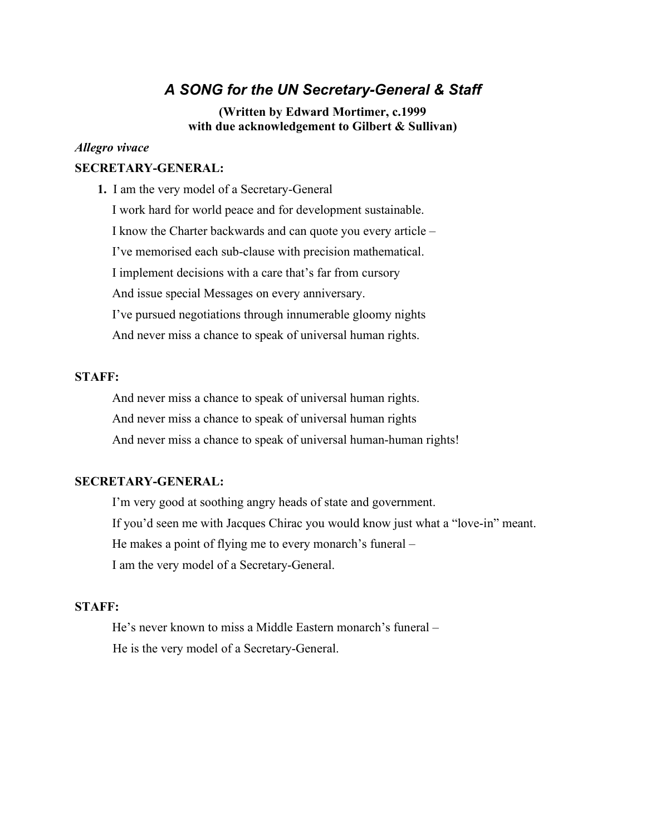# *A SONG for the UN Secretary-General & Staff*

#### **(Written by Edward Mortimer, c.1999 with due acknowledgement to Gilbert & Sullivan)**

#### *Allegro vivace*

## **SECRETARY-GENERAL:**

**1.** I am the very model of a Secretary-General

I work hard for world peace and for development sustainable. I know the Charter backwards and can quote you every article – I've memorised each sub-clause with precision mathematical. I implement decisions with a care that's far from cursory And issue special Messages on every anniversary. I've pursued negotiations through innumerable gloomy nights And never miss a chance to speak of universal human rights.

### **STAFF:**

And never miss a chance to speak of universal human rights. And never miss a chance to speak of universal human rights And never miss a chance to speak of universal human-human rights!

## **SECRETARY-GENERAL:**

I'm very good at soothing angry heads of state and government. If you'd seen me with Jacques Chirac you would know just what a "love-in" meant. He makes a point of flying me to every monarch's funeral – I am the very model of a Secretary-General.

### **STAFF:**

He's never known to miss a Middle Eastern monarch's funeral – He is the very model of a Secretary-General.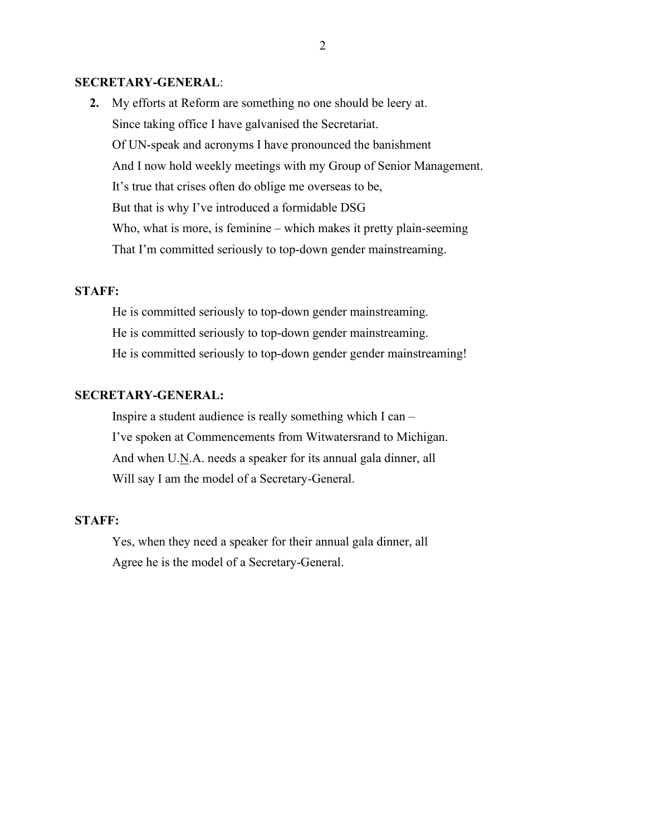#### **SECRETARY-GENERAL**:

**2.** My efforts at Reform are something no one should be leery at. Since taking office I have galvanised the Secretariat. Of UN-speak and acronyms I have pronounced the banishment And I now hold weekly meetings with my Group of Senior Management. It's true that crises often do oblige me overseas to be, But that is why I've introduced a formidable DSG Who, what is more, is feminine – which makes it pretty plain-seeming That I'm committed seriously to top-down gender mainstreaming.

#### **STAFF:**

He is committed seriously to top-down gender mainstreaming. He is committed seriously to top-down gender mainstreaming. He is committed seriously to top-down gender gender mainstreaming!

#### **SECRETARY-GENERAL:**

Inspire a student audience is really something which I can – I've spoken at Commencements from Witwatersrand to Michigan. And when U.N.A. needs a speaker for its annual gala dinner, all Will say I am the model of a Secretary-General.

#### **STAFF:**

Yes, when they need a speaker for their annual gala dinner, all Agree he is the model of a Secretary-General.